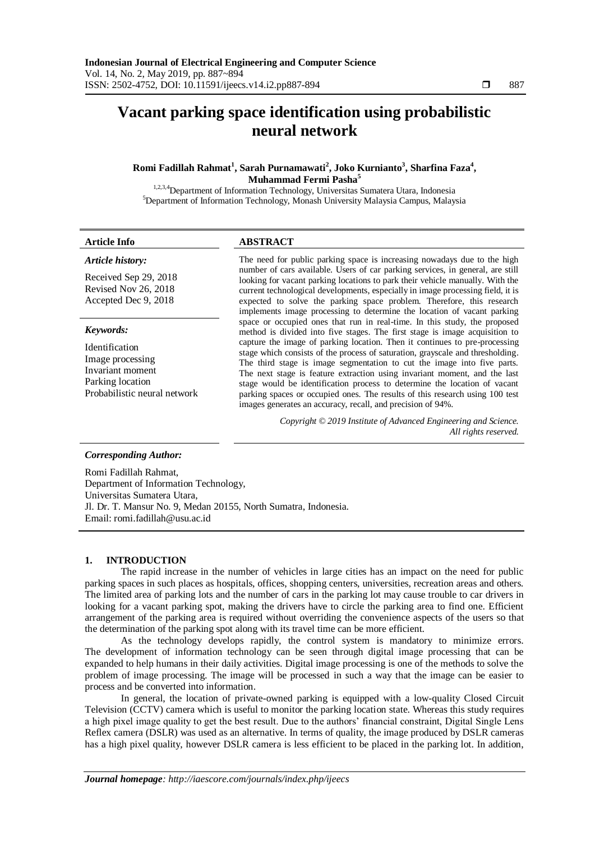# **Vacant parking space identification using probabilistic neural network**

**Romi Fadillah Rahmat<sup>1</sup> , Sarah Purnamawati<sup>2</sup> , Joko Kurnianto<sup>3</sup> , Sharfina Faza<sup>4</sup> , Muhammad Fermi Pasha<sup>5</sup>**

1,2,3,4Department of Information Technology, Universitas Sumatera Utara, Indonesia <sup>5</sup>Department of Information Technology, Monash University Malaysia Campus, Malaysia

#### *Article history:*

Received Sep 29, 2018 Revised Nov 26, 2018 Accepted Dec 9, 2018

#### *Keywords:*

Identification Image processing Invariant moment Parking location Probabilistic neural network

### **Article Info ABSTRACT**

The need for public parking space is increasing nowadays due to the high number of cars available. Users of car parking services, in general, are still looking for vacant parking locations to park their vehicle manually. With the current technological developments, especially in image processing field, it is expected to solve the parking space problem. Therefore, this research implements image processing to determine the location of vacant parking space or occupied ones that run in real-time. In this study, the proposed method is divided into five stages. The first stage is image acquisition to capture the image of parking location. Then it continues to pre-processing stage which consists of the process of saturation, grayscale and thresholding. The third stage is image segmentation to cut the image into five parts. The next stage is feature extraction using invariant moment, and the last stage would be identification process to determine the location of vacant parking spaces or occupied ones. The results of this research using 100 test images generates an accuracy, recall, and precision of 94%.

> *Copyright © 2019 Institute of Advanced Engineering and Science. All rights reserved.*

### *Corresponding Author:*

Romi Fadillah Rahmat, Department of Information Technology, Universitas Sumatera Utara, Jl. Dr. T. Mansur No. 9, Medan 20155, North Sumatra, Indonesia. Email: romi.fadillah@usu.ac.id

#### **1. INTRODUCTION**

The rapid increase in the number of vehicles in large cities has an impact on the need for public parking spaces in such places as hospitals, offices, shopping centers, universities, recreation areas and others. The limited area of parking lots and the number of cars in the parking lot may cause trouble to car drivers in looking for a vacant parking spot, making the drivers have to circle the parking area to find one. Efficient arrangement of the parking area is required without overriding the convenience aspects of the users so that the determination of the parking spot along with its travel time can be more efficient.

As the technology develops rapidly, the control system is mandatory to minimize errors. The development of information technology can be seen through digital image processing that can be expanded to help humans in their daily activities. Digital image processing is one of the methods to solve the problem of image processing. The image will be processed in such a way that the image can be easier to process and be converted into information.

In general, the location of private-owned parking is equipped with a low-quality Closed Circuit Television (CCTV) camera which is useful to monitor the parking location state. Whereas this study requires a high pixel image quality to get the best result. Due to the authors' financial constraint, Digital Single Lens Reflex camera (DSLR) was used as an alternative. In terms of quality, the image produced by DSLR cameras has a high pixel quality, however DSLR camera is less efficient to be placed in the parking lot. In addition,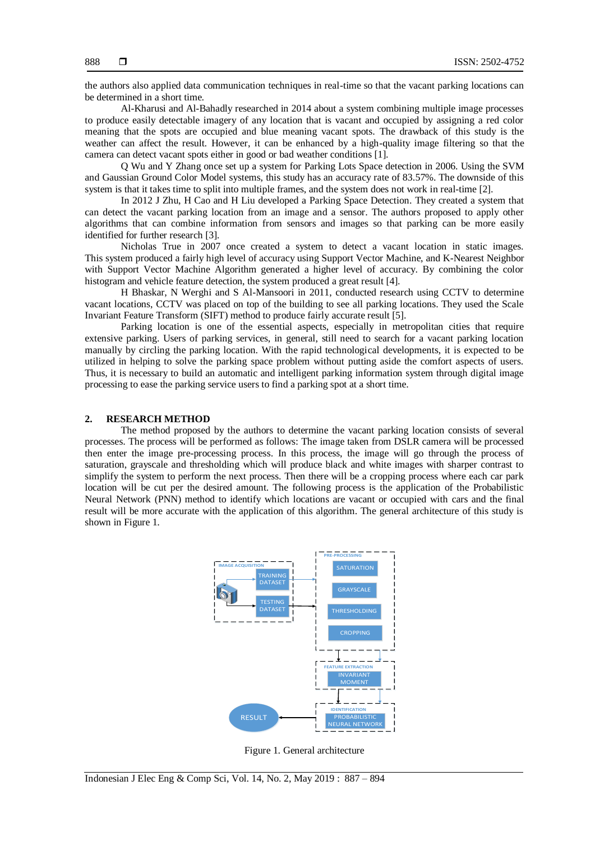the authors also applied data communication techniques in real-time so that the vacant parking locations can be determined in a short time.

Al-Kharusi and Al-Bahadly researched in 2014 about a system combining multiple image processes to produce easily detectable imagery of any location that is vacant and occupied by assigning a red color meaning that the spots are occupied and blue meaning vacant spots. The drawback of this study is the weather can affect the result. However, it can be enhanced by a high-quality image filtering so that the camera can detect vacant spots either in good or bad weather conditions [1].

Q Wu and Y Zhang once set up a system for Parking Lots Space detection in 2006. Using the SVM and Gaussian Ground Color Model systems, this study has an accuracy rate of 83.57%. The downside of this system is that it takes time to split into multiple frames, and the system does not work in real-time [2].

In 2012 J Zhu, H Cao and H Liu developed a Parking Space Detection. They created a system that can detect the vacant parking location from an image and a sensor. The authors proposed to apply other algorithms that can combine information from sensors and images so that parking can be more easily identified for further research [3].

Nicholas True in 2007 once created a system to detect a vacant location in static images. This system produced a fairly high level of accuracy using Support Vector Machine, and K-Nearest Neighbor with Support Vector Machine Algorithm generated a higher level of accuracy. By combining the color histogram and vehicle feature detection, the system produced a great result [4].

H Bhaskar, N Werghi and S Al-Mansoori in 2011, conducted research using CCTV to determine vacant locations, CCTV was placed on top of the building to see all parking locations. They used the Scale Invariant Feature Transform (SIFT) method to produce fairly accurate result [5].

Parking location is one of the essential aspects, especially in metropolitan cities that require extensive parking. Users of parking services, in general, still need to search for a vacant parking location manually by circling the parking location. With the rapid technological developments, it is expected to be utilized in helping to solve the parking space problem without putting aside the comfort aspects of users. Thus, it is necessary to build an automatic and intelligent parking information system through digital image processing to ease the parking service users to find a parking spot at a short time.

#### **2. RESEARCH METHOD**

The method proposed by the authors to determine the vacant parking location consists of several processes. The process will be performed as follows: The image taken from DSLR camera will be processed then enter the image pre-processing process. In this process, the image will go through the process of saturation, grayscale and thresholding which will produce black and white images with sharper contrast to simplify the system to perform the next process. Then there will be a cropping process where each car park location will be cut per the desired amount. The following process is the application of the Probabilistic Neural Network (PNN) method to identify which locations are vacant or occupied with cars and the final result will be more accurate with the application of this algorithm. The general architecture of this study is shown in Figure 1.



Figure 1. General architecture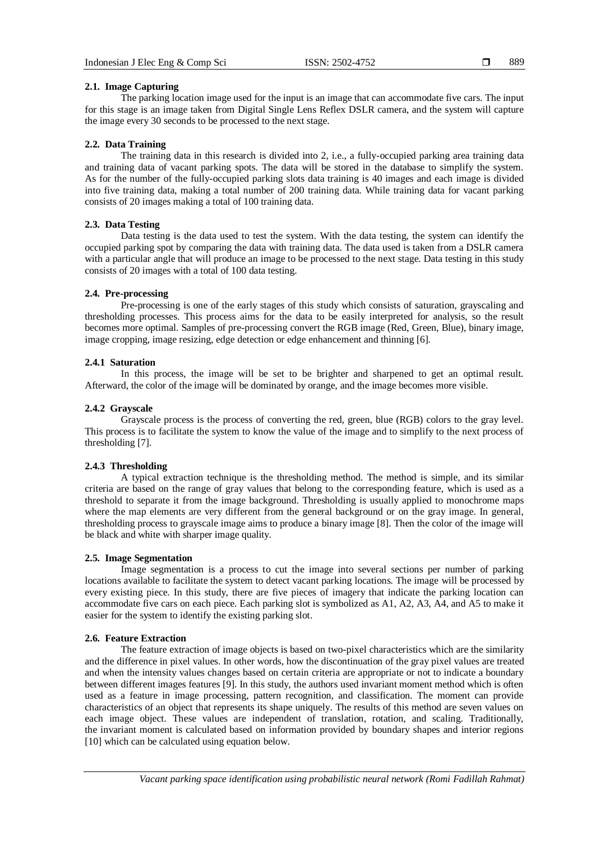889

#### **2.1. Image Capturing**

The parking location image used for the input is an image that can accommodate five cars. The input for this stage is an image taken from Digital Single Lens Reflex DSLR camera, and the system will capture the image every 30 seconds to be processed to the next stage.

#### **2.2. Data Training**

The training data in this research is divided into 2, i.e., a fully-occupied parking area training data and training data of vacant parking spots. The data will be stored in the database to simplify the system. As for the number of the fully-occupied parking slots data training is 40 images and each image is divided into five training data, making a total number of 200 training data. While training data for vacant parking consists of 20 images making a total of 100 training data.

### **2.3. Data Testing**

Data testing is the data used to test the system. With the data testing, the system can identify the occupied parking spot by comparing the data with training data. The data used is taken from a DSLR camera with a particular angle that will produce an image to be processed to the next stage. Data testing in this study consists of 20 images with a total of 100 data testing.

### **2.4. Pre-processing**

Pre-processing is one of the early stages of this study which consists of saturation, grayscaling and thresholding processes. This process aims for the data to be easily interpreted for analysis, so the result becomes more optimal. Samples of pre-processing convert the RGB image (Red, Green, Blue), binary image, image cropping, image resizing, edge detection or edge enhancement and thinning [6].

### **2.4.1 Saturation**

In this process, the image will be set to be brighter and sharpened to get an optimal result. Afterward, the color of the image will be dominated by orange, and the image becomes more visible.

### **2.4.2 Grayscale**

Grayscale process is the process of converting the red, green, blue (RGB) colors to the gray level. This process is to facilitate the system to know the value of the image and to simplify to the next process of thresholding [7].

# **2.4.3 Thresholding**

A typical extraction technique is the thresholding method. The method is simple, and its similar criteria are based on the range of gray values that belong to the corresponding feature, which is used as a threshold to separate it from the image background. Thresholding is usually applied to monochrome maps where the map elements are very different from the general background or on the gray image. In general, thresholding process to grayscale image aims to produce a binary image [8]. Then the color of the image will be black and white with sharper image quality.

#### **2.5. Image Segmentation**

Image segmentation is a process to cut the image into several sections per number of parking locations available to facilitate the system to detect vacant parking locations. The image will be processed by every existing piece. In this study, there are five pieces of imagery that indicate the parking location can accommodate five cars on each piece. Each parking slot is symbolized as A1, A2, A3, A4, and A5 to make it easier for the system to identify the existing parking slot.

#### **2.6. Feature Extraction**

The feature extraction of image objects is based on two-pixel characteristics which are the similarity and the difference in pixel values. In other words, how the discontinuation of the gray pixel values are treated and when the intensity values changes based on certain criteria are appropriate or not to indicate a boundary between different images features [9]. In this study, the authors used invariant moment method which is often used as a feature in image processing, pattern recognition, and classification. The moment can provide characteristics of an object that represents its shape uniquely. The results of this method are seven values on each image object. These values are independent of translation, rotation, and scaling. Traditionally, the invariant moment is calculated based on information provided by boundary shapes and interior regions [10] which can be calculated using equation below.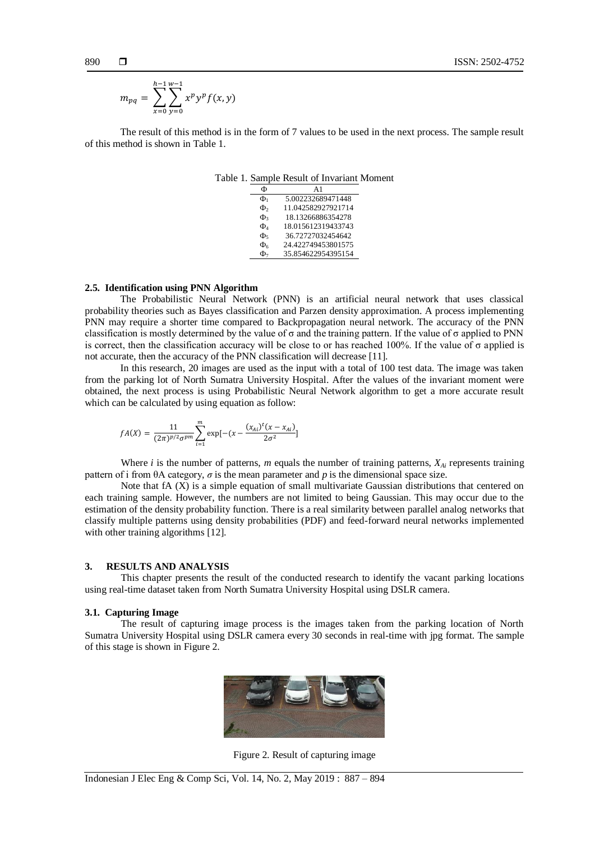$$
m_{pq} = \sum_{x=0}^{h-1} \sum_{y=0}^{w-1} x^p y^p f(x, y)
$$

The result of this method is in the form of 7 values to be used in the next process. The sample result of this method is shown in Table 1.

| Φ                   | $\mathbf{A}1$      |
|---------------------|--------------------|
| $\Phi_1$            | 5.002232689471448  |
| Ф,                  | 11.042582927921714 |
| $\Phi$              | 18.13266886354278  |
| $\Phi$ <sub>4</sub> | 18.015612319433743 |
| Ф,                  | 36.72727032454642  |
| $\Phi_6$            | 24.422749453801575 |
| Ф,                  | 35.854622954395154 |

## Table 1. Sample Result of Invariant Moment

#### **2.5. Identification using PNN Algorithm**

The Probabilistic Neural Network (PNN) is an artificial neural network that uses classical probability theories such as Bayes classification and Parzen density approximation. A process implementing PNN may require a shorter time compared to Backpropagation neural network. The accuracy of the PNN classification is mostly determined by the value of  $\sigma$  and the training pattern. If the value of  $\sigma$  applied to PNN is correct, then the classification accuracy will be close to or has reached 100%. If the value of σ applied is not accurate, then the accuracy of the PNN classification will decrease [11].

In this research, 20 images are used as the input with a total of 100 test data. The image was taken from the parking lot of North Sumatra University Hospital. After the values of the invariant moment were obtained, the next process is using Probabilistic Neural Network algorithm to get a more accurate result which can be calculated by using equation as follow:

$$
fA(X)=\frac{11}{(2\pi)^{p/2}\sigma^{pm}}{\sum_{i=1}^m \exp[-(x-\frac{(x_{Ai})^t(x-x_{Ai})}{2\sigma^2}]}
$$

Where *i* is the number of patterns, *m* equals the number of training patterns, *XAi* represents training pattern of i from  $\theta$ A category,  $\sigma$  is the mean parameter and  $p$  is the dimensional space size.

Note that fA (X) is a simple equation of small multivariate Gaussian distributions that centered on each training sample. However, the numbers are not limited to being Gaussian. This may occur due to the estimation of the density probability function. There is a real similarity between parallel analog networks that classify multiple patterns using density probabilities (PDF) and feed-forward neural networks implemented with other training algorithms [12].

#### **3. RESULTS AND ANALYSIS**

This chapter presents the result of the conducted research to identify the vacant parking locations using real-time dataset taken from North Sumatra University Hospital using DSLR camera.

#### **3.1. Capturing Image**

The result of capturing image process is the images taken from the parking location of North Sumatra University Hospital using DSLR camera every 30 seconds in real-time with jpg format. The sample of this stage is shown in Figure 2.



Figure 2. Result of capturing image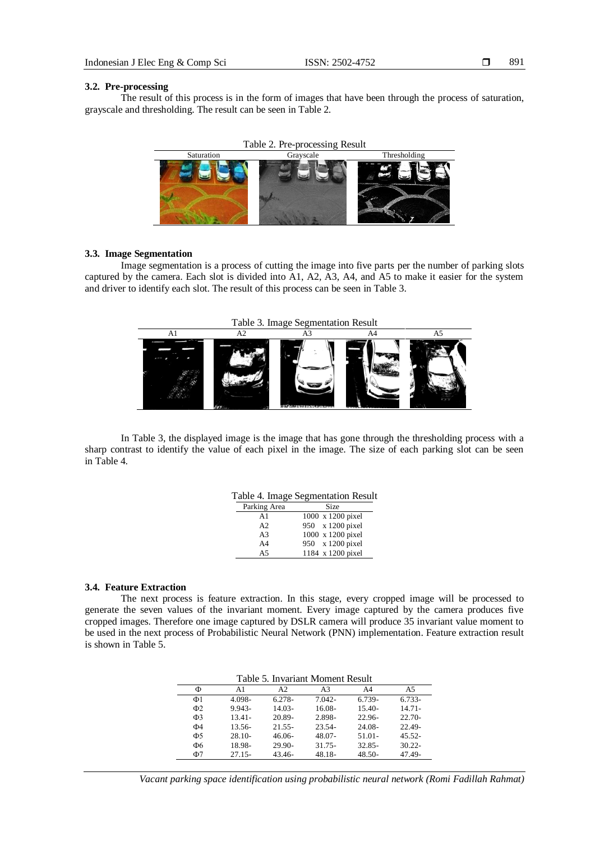891

#### **3.2. Pre-processing**

The result of this process is in the form of images that have been through the process of saturation, grayscale and thresholding. The result can be seen in Table 2.





#### **3.3. Image Segmentation**

Image segmentation is a process of cutting the image into five parts per the number of parking slots captured by the camera. Each slot is divided into A1, A2, A3, A4, and A5 to make it easier for the system and driver to identify each slot. The result of this process can be seen in Table 3.



In Table 3, the displayed image is the image that has gone through the thresholding process with a sharp contrast to identify the value of each pixel in the image. The size of each parking slot can be seen in Table 4.

|  |  | Table 4. Image Segmentation Result |  |
|--|--|------------------------------------|--|
|--|--|------------------------------------|--|

| Parking Area   | Size              |
|----------------|-------------------|
| A <sub>1</sub> | 1000 x 1200 pixel |
| A <sub>2</sub> | 950 x 1200 pixel  |
| A <sub>3</sub> | 1000 x 1200 pixel |
| A <sub>4</sub> | 950 x 1200 pixel  |
| A <sub>5</sub> | 1184 x 1200 pixel |

#### **3.4. Feature Extraction**

The next process is feature extraction. In this stage, every cropped image will be processed to generate the seven values of the invariant moment. Every image captured by the camera produces five cropped images. Therefore one image captured by DSLR camera will produce 35 invariant value moment to be used in the next process of Probabilistic Neural Network (PNN) implementation. Feature extraction result is shown in Table 5.

| Table 5. Invariant Moment Result |  |
|----------------------------------|--|
|----------------------------------|--|

| Ф                   | A1        | A <sub>2</sub> | A3        | A4        | A5        |
|---------------------|-----------|----------------|-----------|-----------|-----------|
| $\Phi$ 1            | 4.098-    | $6.278-$       | $7.042 -$ | 6.739-    | 6.733-    |
| $\Phi$ <sub>2</sub> | $9.943 -$ | $14.03 -$      | $16.08 -$ | $15.40-$  | $14.71 -$ |
| $\Phi$ 3            | $13.41 -$ | 20.89-         | 2.898-    | $22.96 -$ | $22.70-$  |
| Ф4                  | $13.56-$  | $21.55 -$      | $23.54-$  | $24.08 -$ | $22.49 -$ |
| Ф5                  | $28.10-$  | $46.06-$       | 48.07-    | $51.01 -$ | $45.52 -$ |
| Ф6                  | 18.98-    | $29.90 -$      | $31.75 -$ | $32.85 -$ | $30.22 -$ |
| Ф7                  | $27.15-$  | $43.46 -$      | $48.18 -$ | $48.50-$  | $47.49 -$ |

*Vacant parking space identification using probabilistic neural network (Romi Fadillah Rahmat)*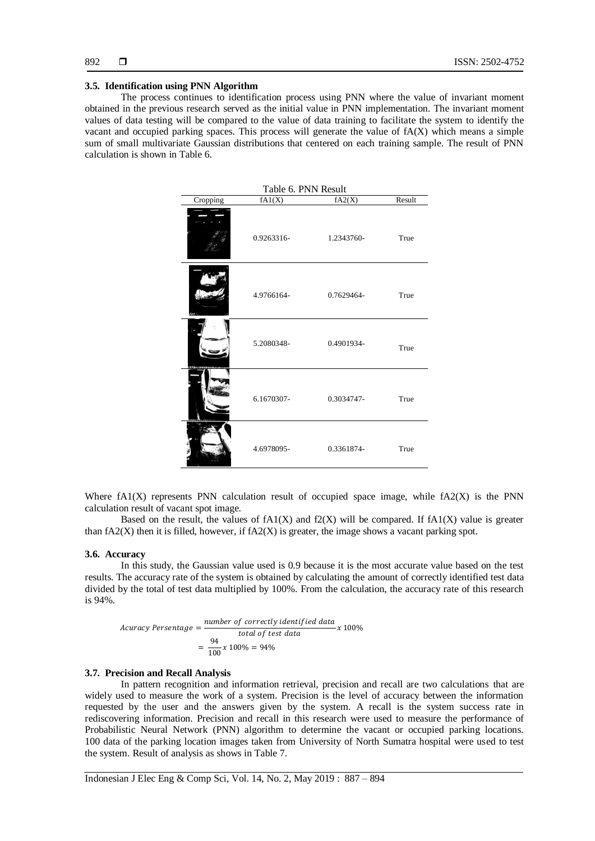#### **3.5. Identification using PNN Algorithm**

The process continues to identification process using PNN where the value of invariant moment obtained in the previous research served as the initial value in PNN implementation. The invariant moment values of data testing will be compared to the value of data training to facilitate the system to identify the vacant and occupied parking spaces. This process will generate the value of fA(X) which means a simple sum of small multivariate Gaussian distributions that centered on each training sample. The result of PNN calculation is shown in Table 6.

| Table 6. PNN Result |            |            |        |  |
|---------------------|------------|------------|--------|--|
| Cropping            | fA1(X)     | fA2(X)     | Result |  |
|                     | 0.9263316- | 1.2343760- | True   |  |
|                     | 4.9766164- | 0.7629464- | True   |  |
|                     | 5.2080348- | 0.4901934- | True   |  |
|                     | 6.1670307- | 0.3034747- | True   |  |
|                     | 4.6978095- | 0.3361874- | True   |  |

Where  $fA1(X)$  represents PNN calculation result of occupied space image, while  $fA2(X)$  is the PNN calculation result of vacant spot image.

Based on the result, the values of  $fA1(X)$  and  $f2(X)$  will be compared. If  $fA1(X)$  value is greater than  $fA2(X)$  then it is filled, however, if  $fA2(X)$  is greater, the image shows a vacant parking spot.

#### **3.6. Accuracy**

In this study, the Gaussian value used is 0.9 because it is the most accurate value based on the test results. The accuracy rate of the system is obtained by calculating the amount of correctly identified test data divided by the total of test data multiplied by 100%. From the calculation, the accuracy rate of this research is 94%.

$$
Acuracy \text{ } $\text{Persentage} = \frac{\text{number of correctly identified data}}{\text{total of test data}} \times 100\%$ \n
$$
= \frac{94}{100} \times 100\% = 94\%
$$
$$

#### **3.7. Precision and Recall Analysis**

In pattern recognition and information retrieval, precision and recall are two calculations that are widely used to measure the work of a system. Precision is the level of accuracy between the information requested by the user and the answers given by the system. A recall is the system success rate in rediscovering information. Precision and recall in this research were used to measure the performance of Probabilistic Neural Network (PNN) algorithm to determine the vacant or occupied parking locations. 100 data of the parking location images taken from University of North Sumatra hospital were used to test the system. Result of analysis as shows in Table 7.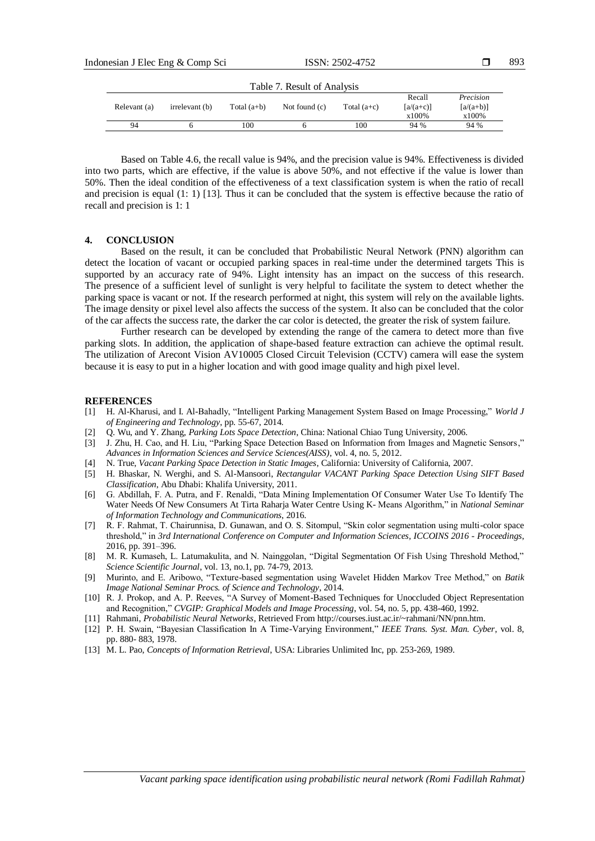| Indonesian J Elec Eng & Comp Sci |              |                |               | ISSN: 2502-4752             |               |                                            |                                               | 893 |
|----------------------------------|--------------|----------------|---------------|-----------------------------|---------------|--------------------------------------------|-----------------------------------------------|-----|
|                                  |              |                |               | Table 7. Result of Analysis |               |                                            |                                               |     |
|                                  | Relevant (a) | irrelevant (b) | Total $(a+b)$ | Not found $(c)$             | Total $(a+c)$ | Recall<br>$\lceil a/(a+c) \rceil$<br>x100% | Precision<br>$\lceil a/(a+b) \rceil$<br>x100% |     |
|                                  | 94           |                | 100           |                             | 100           | 94 %                                       | 94 %                                          |     |

Based on Table 4.6, the recall value is 94%, and the precision value is 94%. Effectiveness is divided into two parts, which are effective, if the value is above 50%, and not effective if the value is lower than 50%. Then the ideal condition of the effectiveness of a text classification system is when the ratio of recall and precision is equal (1: 1) [13]. Thus it can be concluded that the system is effective because the ratio of recall and precision is 1: 1

#### **4. CONCLUSION**

Based on the result, it can be concluded that Probabilistic Neural Network (PNN) algorithm can detect the location of vacant or occupied parking spaces in real-time under the determined targets This is supported by an accuracy rate of 94%. Light intensity has an impact on the success of this research. The presence of a sufficient level of sunlight is very helpful to facilitate the system to detect whether the parking space is vacant or not. If the research performed at night, this system will rely on the available lights. The image density or pixel level also affects the success of the system. It also can be concluded that the color of the car affects the success rate, the darker the car color is detected, the greater the risk of system failure.

Further research can be developed by extending the range of the camera to detect more than five parking slots. In addition, the application of shape-based feature extraction can achieve the optimal result. The utilization of Arecont Vision AV10005 Closed Circuit Television (CCTV) camera will ease the system because it is easy to put in a higher location and with good image quality and high pixel level.

#### **REFERENCES**

- [1] H. Al-Kharusi, and I. Al-Bahadly, "Intelligent Parking Management System Based on Image Processing," *World J of Engineering and Technology*, pp. 55-67, 2014.
- [2] Q. Wu, and Y. Zhang, *Parking Lots Space Detection*, China: National Chiao Tung University, 2006.
- [3] J. Zhu, H. Cao, and H. Liu, "Parking Space Detection Based on Information from Images and Magnetic Sensors," *Advances in Information Sciences and Service Sciences(AISS)*, vol. 4, no. 5, 2012.
- [4] N. True, *Vacant Parking Space Detection in Static Images*, California: University of California, 2007.
- [5] H. Bhaskar, N. Werghi, and S. Al-Mansoori, *Rectangular VACANT Parking Space Detection Using SIFT Based Classification*, Abu Dhabi: Khalifa University, 2011.
- [6] G. Abdillah, F. A. Putra, and F. Renaldi, "Data Mining Implementation Of Consumer Water Use To Identify The Water Needs Of New Consumers At Tirta Raharja Water Centre Using K- Means Algorithm," in *National Seminar of Information Technology and Communications*, 2016.
- [7] R. F. Rahmat, T. Chairunnisa, D. Gunawan, and O. S. Sitompul, "Skin color segmentation using multi-color space threshold," in *3rd International Conference on Computer and Information Sciences, ICCOINS 2016 - Proceedings*, 2016, pp. 391–396.
- [8] M. R. Kumaseh, L. Latumakulita, and N. Nainggolan, "Digital Segmentation Of Fish Using Threshold Method," *Science Scientific Journal*, vol. 13, no.1, pp. 74-79, 2013.
- [9] Murinto, and E. Aribowo, "Texture-based segmentation using Wavelet Hidden Markov Tree Method," on *Batik Image National Seminar Procs. of Science and Technology*, 2014.
- [10] R. J. Prokop, and A. P. Reeves, "A Survey of Moment-Based Techniques for Unoccluded Object Representation and Recognition," *CVGIP: Graphical Models and Image Processing*, vol. 54, no. 5, pp. 438-460, 1992.
- [11] Rahmani, *Probabilistic Neural Networks*, Retrieved From http://courses.iust.ac.ir/~rahmani/NN/pnn.htm.
- [12] P. H. Swain, "Bayesian Classification In A Time-Varying Environment," *IEEE Trans. Syst. Man. Cyber*, vol. 8, pp. 880- 883, 1978.
- [13] M. L. Pao, *Concepts of Information Retrieval*, USA: Libraries Unlimited Inc, pp. 253-269, 1989.